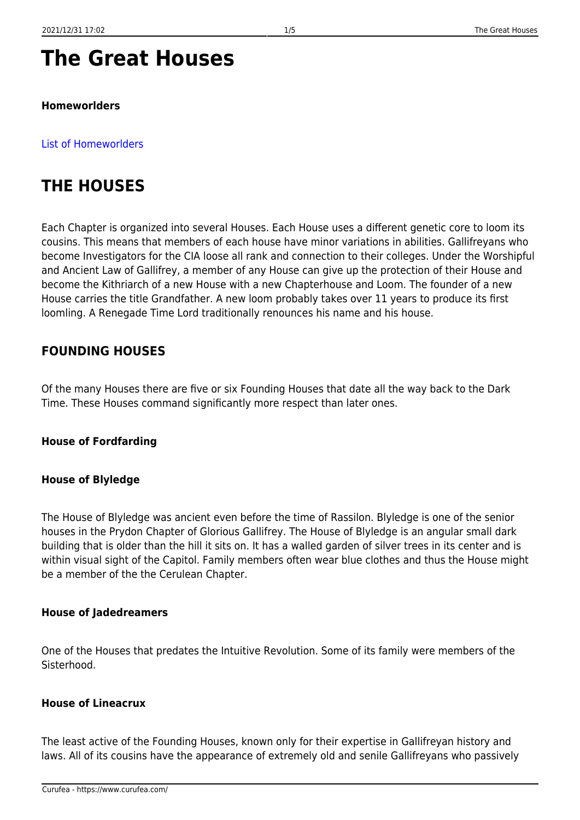# **The Great Houses**

#### **Homeworlders**

#### [List of Homeworlders](https://www.curufea.com/doku.php?id=faction:wholist)

## **THE HOUSES**

Each Chapter is organized into several Houses. Each House uses a different genetic core to loom its cousins. This means that members of each house have minor variations in abilities. Gallifreyans who become Investigators for the CIA loose all rank and connection to their colleges. Under the Worshipful and Ancient Law of Gallifrey, a member of any House can give up the protection of their House and become the Kithriarch of a new House with a new Chapterhouse and Loom. The founder of a new House carries the title Grandfather. A new loom probably takes over 11 years to produce its first loomling. A Renegade Time Lord traditionally renounces his name and his house.

## **FOUNDING HOUSES**

Of the many Houses there are five or six Founding Houses that date all the way back to the Dark Time. These Houses command significantly more respect than later ones.

#### **House of Fordfarding**

#### **House of Blyledge**

The House of Blyledge was ancient even before the time of Rassilon. Blyledge is one of the senior houses in the Prydon Chapter of Glorious Gallifrey. The House of Blyledge is an angular small dark building that is older than the hill it sits on. It has a walled garden of silver trees in its center and is within visual sight of the Capitol. Family members often wear blue clothes and thus the House might be a member of the the Cerulean Chapter.

#### **House of Jadedreamers**

One of the Houses that predates the Intuitive Revolution. Some of its family were members of the Sisterhood.

#### **House of Lineacrux**

The least active of the Founding Houses, known only for their expertise in Gallifreyan history and laws. All of its cousins have the appearance of extremely old and senile Gallifreyans who passively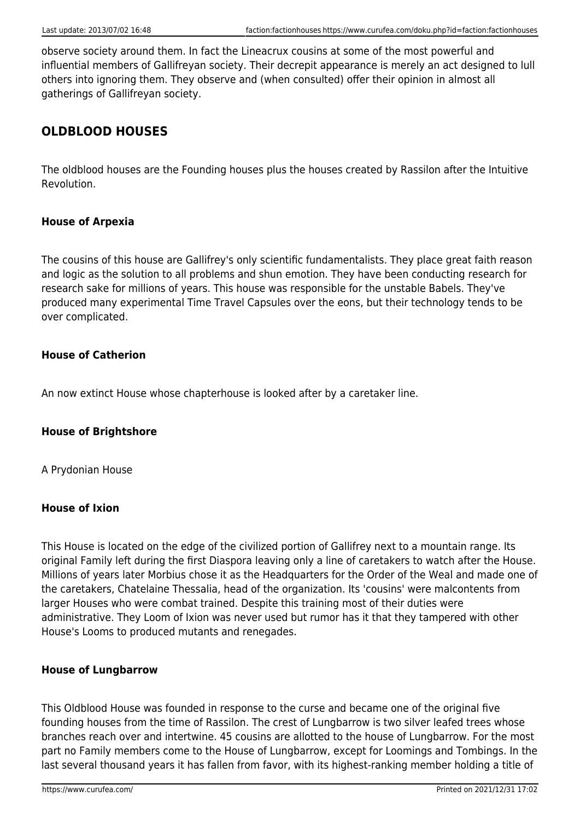observe society around them. In fact the Lineacrux cousins at some of the most powerful and influential members of Gallifreyan society. Their decrepit appearance is merely an act designed to lull others into ignoring them. They observe and (when consulted) offer their opinion in almost all gatherings of Gallifreyan society.

## **OLDBLOOD HOUSES**

The oldblood houses are the Founding houses plus the houses created by Rassilon after the Intuitive Revolution.

#### **House of Arpexia**

The cousins of this house are Gallifrey's only scientific fundamentalists. They place great faith reason and logic as the solution to all problems and shun emotion. They have been conducting research for research sake for millions of years. This house was responsible for the unstable Babels. They've produced many experimental Time Travel Capsules over the eons, but their technology tends to be over complicated.

#### **House of Catherion**

An now extinct House whose chapterhouse is looked after by a caretaker line.

#### **House of Brightshore**

A Prydonian House

#### **House of Ixion**

This House is located on the edge of the civilized portion of Gallifrey next to a mountain range. Its original Family left during the first Diaspora leaving only a line of caretakers to watch after the House. Millions of years later Morbius chose it as the Headquarters for the Order of the Weal and made one of the caretakers, Chatelaine Thessalia, head of the organization. Its 'cousins' were malcontents from larger Houses who were combat trained. Despite this training most of their duties were administrative. They Loom of Ixion was never used but rumor has it that they tampered with other House's Looms to produced mutants and renegades.

#### **House of Lungbarrow**

This Oldblood House was founded in response to the curse and became one of the original five founding houses from the time of Rassilon. The crest of Lungbarrow is two silver leafed trees whose branches reach over and intertwine. 45 cousins are allotted to the house of Lungbarrow. For the most part no Family members come to the House of Lungbarrow, except for Loomings and Tombings. In the last several thousand years it has fallen from favor, with its highest-ranking member holding a title of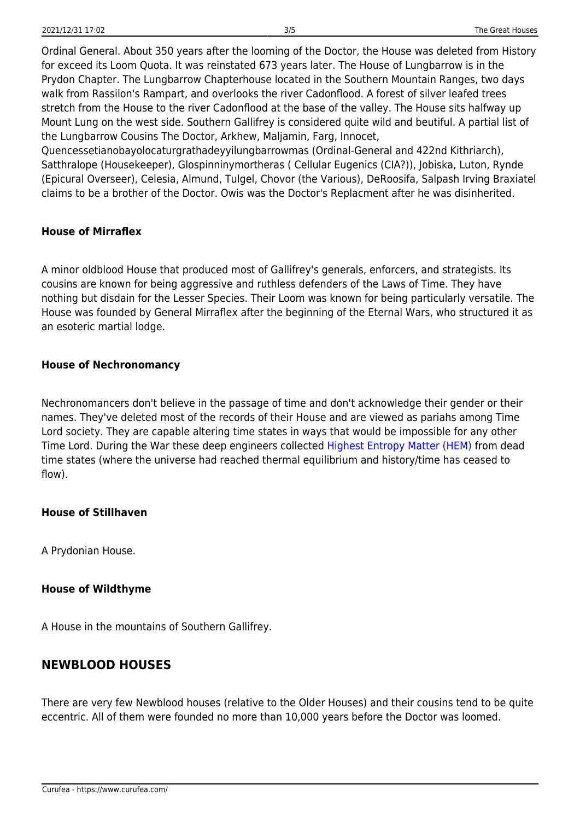Ordinal General. About 350 years after the looming of the Doctor, the House was deleted from History for exceed its Loom Quota. It was reinstated 673 years later. The House of Lungbarrow is in the Prydon Chapter. The Lungbarrow Chapterhouse located in the Southern Mountain Ranges, two days walk from Rassilon's Rampart, and overlooks the river Cadonflood. A forest of silver leafed trees stretch from the House to the river Cadonflood at the base of the valley. The House sits halfway up Mount Lung on the west side. Southern Gallifrey is considered quite wild and beutiful. A partial list of the Lungbarrow Cousins The Doctor, Arkhew, Maljamin, Farg, Innocet,

Quencessetianobayolocaturgrathadeyyilungbarrowmas (Ordinal-General and 422nd Kithriarch), Satthralope (Housekeeper), Glospinninymortheras ( Cellular Eugenics (CIA?)), Jobiska, Luton, Rynde (Epicural Overseer), Celesia, Almund, Tulgel, Chovor (the Various), DeRoosifa, Salpash Irving Braxiatel claims to be a brother of the Doctor. Owis was the Doctor's Replacment after he was disinherited.

#### **House of Mirraflex**

A minor oldblood House that produced most of Gallifrey's generals, enforcers, and strategists. Its cousins are known for being aggressive and ruthless defenders of the Laws of Time. They have nothing but disdain for the Lesser Species. Their Loom was known for being particularly versatile. The House was founded by General Mirraflex after the beginning of the Eternal Wars, who structured it as an esoteric martial lodge.

#### **House of Nechronomancy**

Nechronomancers don't believe in the passage of time and don't acknowledge their gender or their names. They've deleted most of the records of their House and are viewed as pariahs among Time Lord society. They are capable altering time states in ways that would be impossible for any other Time Lord. During the War these deep engineers collected [Highest Entropy Matter \(HEM\)](https://www.curufea.com/doku.php?id=faction:factioncold) from dead time states (where the universe had reached thermal equilibrium and history/time has ceased to flow).

#### **House of Stillhaven**

A Prydonian House.

#### **House of Wildthyme**

A House in the mountains of Southern Gallifrey.

## **NEWBLOOD HOUSES**

There are very few Newblood houses (relative to the Older Houses) and their cousins tend to be quite eccentric. All of them were founded no more than 10,000 years before the Doctor was loomed.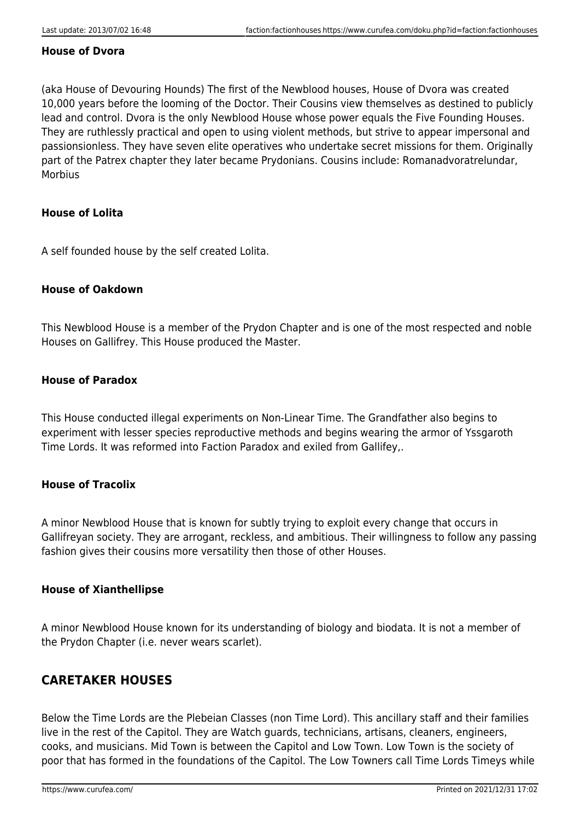#### **House of Dvora**

(aka House of Devouring Hounds) The first of the Newblood houses, House of Dvora was created 10,000 years before the looming of the Doctor. Their Cousins view themselves as destined to publicly lead and control. Dvora is the only Newblood House whose power equals the Five Founding Houses. They are ruthlessly practical and open to using violent methods, but strive to appear impersonal and passionsionless. They have seven elite operatives who undertake secret missions for them. Originally part of the Patrex chapter they later became Prydonians. Cousins include: Romanadvoratrelundar, Morbius

#### **House of Lolita**

A self founded house by the self created Lolita.

#### **House of Oakdown**

This Newblood House is a member of the Prydon Chapter and is one of the most respected and noble Houses on Gallifrey. This House produced the Master.

#### **House of Paradox**

This House conducted illegal experiments on Non-Linear Time. The Grandfather also begins to experiment with lesser species reproductive methods and begins wearing the armor of Yssgaroth Time Lords. It was reformed into Faction Paradox and exiled from Gallifey,.

#### **House of Tracolix**

A minor Newblood House that is known for subtly trying to exploit every change that occurs in Gallifreyan society. They are arrogant, reckless, and ambitious. Their willingness to follow any passing fashion gives their cousins more versatility then those of other Houses.

#### **House of Xianthellipse**

A minor Newblood House known for its understanding of biology and biodata. It is not a member of the Prydon Chapter (i.e. never wears scarlet).

### **CARETAKER HOUSES**

Below the Time Lords are the Plebeian Classes (non Time Lord). This ancillary staff and their families live in the rest of the Capitol. They are Watch guards, technicians, artisans, cleaners, engineers, cooks, and musicians. Mid Town is between the Capitol and Low Town. Low Town is the society of poor that has formed in the foundations of the Capitol. The Low Towners call Time Lords Timeys while